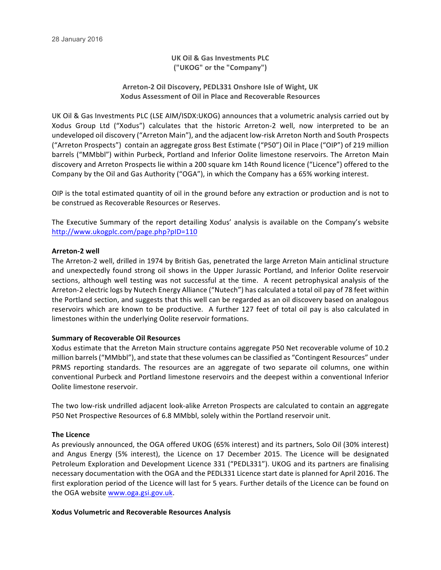**UK Oil & Gas Investments PLC ("UKOG" or the "Company")**

**Arreton-2 Oil Discovery, PEDL331 Onshore Isle of Wight, UK Xodus Assessment of Oil in Place and Recoverable Resources**

UK Oil & Gas Investments PLC (LSE AIM/ISDX:UKOG) announces that a volumetric analysis carried out by Xodus Group Ltd ("Xodus") calculates that the historic Arreton-2 well, now interpreted to be an undeveloped oil discovery ("Arreton Main"), and the adjacent low-risk Arreton North and South Prospects ("Arreton Prospects") contain an aggregate gross Best Estimate ("P50") Oil in Place ("OIP") of 219 million barrels ("MMbbl") within Purbeck, Portland and Inferior Oolite limestone reservoirs. The Arreton Main discovery and Arreton Prospects lie within a 200 square km 14th Round licence ("Licence") offered to the Company by the Oil and Gas Authority ("OGA"), in which the Company has a 65% working interest.

OIP is the total estimated quantity of oil in the ground before any extraction or production and is not to be construed as Recoverable Resources or Reserves.

The Executive Summary of the report detailing Xodus' analysis is available on the Company's website http://www.ukogplc.com/page.php?pID=110

### **Arreton-2 well**

The Arreton-2 well, drilled in 1974 by British Gas, penetrated the large Arreton Main anticlinal structure and unexpectedly found strong oil shows in the Upper Jurassic Portland, and Inferior Oolite reservoir sections, although well testing was not successful at the time. A recent petrophysical analysis of the Arreton-2 electric logs by Nutech Energy Alliance ("Nutech") has calculated a total oil pay of 78 feet within the Portland section, and suggests that this well can be regarded as an oil discovery based on analogous reservoirs which are known to be productive. A further 127 feet of total oil pay is also calculated in limestones within the underlying Oolite reservoir formations.

#### **Summary of Recoverable Oil Resources**

Xodus estimate that the Arreton Main structure contains aggregate P50 Net recoverable volume of 10.2 million barrels ("MMbbl"), and state that these volumes can be classified as "Contingent Resources" under PRMS reporting standards. The resources are an aggregate of two separate oil columns, one within conventional Purbeck and Portland limestone reservoirs and the deepest within a conventional Inferior Oolite limestone reservoir.

The two low-risk undrilled adjacent look-alike Arreton Prospects are calculated to contain an aggregate P50 Net Prospective Resources of 6.8 MMbbl, solely within the Portland reservoir unit.

#### **The Licence**

As previously announced, the OGA offered UKOG (65% interest) and its partners, Solo Oil (30% interest) and Angus Energy (5% interest), the Licence on 17 December 2015. The Licence will be designated Petroleum Exploration and Development Licence 331 ("PEDL331"). UKOG and its partners are finalising necessary documentation with the OGA and the PEDL331 Licence start date is planned for April 2016. The first exploration period of the Licence will last for 5 years. Further details of the Licence can be found on the OGA website www.oga.gsi.gov.uk.

#### **Xodus Volumetric and Recoverable Resources Analysis**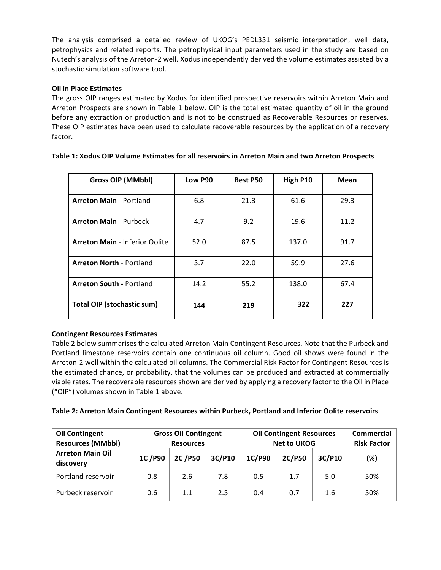The analysis comprised a detailed review of UKOG's PEDL331 seismic interpretation, well data, petrophysics and related reports. The petrophysical input parameters used in the study are based on Nutech's analysis of the Arreton-2 well. Xodus independently derived the volume estimates assisted by a stochastic simulation software tool.

# **Oil in Place Estimates**

The gross OIP ranges estimated by Xodus for identified prospective reservoirs within Arreton Main and Arreton Prospects are shown in Table 1 below. OIP is the total estimated quantity of oil in the ground before any extraction or production and is not to be construed as Recoverable Resources or reserves. These OIP estimates have been used to calculate recoverable resources by the application of a recovery factor.

| <b>Gross OIP (MMbbl)</b>              | Low P90 | <b>Best P50</b> | High P10 | Mean |
|---------------------------------------|---------|-----------------|----------|------|
| <b>Arreton Main - Portland</b>        | 6.8     | 21.3            | 61.6     | 29.3 |
| <b>Arreton Main - Purbeck</b>         | 4.7     | 9.2             | 19.6     | 11.2 |
| <b>Arreton Main - Inferior Oolite</b> | 52.0    | 87.5            | 137.0    | 91.7 |
| <b>Arreton North - Portland</b>       | 3.7     | 22.0            | 59.9     | 27.6 |
| <b>Arreton South - Portland</b>       | 14.2    | 55.2            | 138.0    | 67.4 |
| <b>Total OIP (stochastic sum)</b>     | 144     | 219             | 322      | 227  |

## Table 1: Xodus OIP Volume Estimates for all reservoirs in Arreton Main and two Arreton Prospects

# **Contingent Resources Estimates**

Table 2 below summarises the calculated Arreton Main Contingent Resources. Note that the Purbeck and Portland limestone reservoirs contain one continuous oil column. Good oil shows were found in the Arreton-2 well within the calculated oil columns. The Commercial Risk Factor for Contingent Resources is the estimated chance, or probability, that the volumes can be produced and extracted at commercially viable rates. The recoverable resources shown are derived by applying a recovery factor to the Oil in Place ("OIP") volumes shown in Table 1 above.

| <b>Oil Contingent</b><br><b>Resources (MMbbl)</b> | <b>Gross Oil Contingent</b><br><b>Resources</b> |        |        | <b>Oil Contingent Resources</b><br><b>Net to UKOG</b> |        |        | <b>Commercial</b><br><b>Risk Factor</b> |
|---------------------------------------------------|-------------------------------------------------|--------|--------|-------------------------------------------------------|--------|--------|-----------------------------------------|
| <b>Arreton Main Oil</b><br>discovery              | 1C/P90                                          | 2C/P50 | 3C/P10 | 1C/P90                                                | 2C/P50 | 3C/P10 | (%)                                     |
| Portland reservoir                                | 0.8                                             | 2.6    | 7.8    | 0.5                                                   | 1.7    | 5.0    | 50%                                     |
| Purbeck reservoir                                 | 0.6                                             | 1.1    | 2.5    | 0.4                                                   | 0.7    | 1.6    | 50%                                     |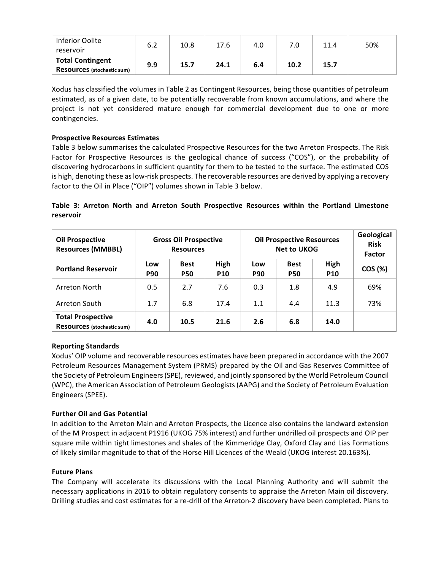| Inferior Oolite<br>reservoir                          | 6.2 | 10.8 | 17.6 | 4.0 | 7.0  | 11.4 | 50% |
|-------------------------------------------------------|-----|------|------|-----|------|------|-----|
| <b>Total Contingent</b><br>Resources (stochastic sum) | 9.9 | 15.7 | 24.1 | 6.4 | 10.2 | 15.7 |     |

Xodus has classified the volumes in Table 2 as Contingent Resources, being those quantities of petroleum estimated, as of a given date, to be potentially recoverable from known accumulations, and where the project is not yet considered mature enough for commercial development due to one or more contingencies. 

# **Prospective Resources Estimates**

Table 3 below summarises the calculated Prospective Resources for the two Arreton Prospects. The Risk Factor for Prospective Resources is the geological chance of success ("COS"), or the probability of discovering hydrocarbons in sufficient quantity for them to be tested to the surface. The estimated COS is high, denoting these as low-risk prospects. The recoverable resources are derived by applying a recovery factor to the Oil in Place ("OIP") volumes shown in Table 3 below.

**Table 3: Arreton North and Arreton South Prospective Resources within the Portland Limestone reservoir**

| <b>Oil Prospective</b><br><b>Resources (MMBBL)</b>            | <b>Gross Oil Prospective</b><br><b>Resources</b> |                           |                    | <b>Oil Prospective Resources</b><br><b>Net to UKOG</b> | Geological<br><b>Risk</b><br><b>Factor</b> |                    |         |
|---------------------------------------------------------------|--------------------------------------------------|---------------------------|--------------------|--------------------------------------------------------|--------------------------------------------|--------------------|---------|
| <b>Portland Reservoir</b>                                     | Low<br><b>P90</b>                                | <b>Best</b><br><b>P50</b> | High<br><b>P10</b> | Low<br><b>P90</b>                                      | <b>Best</b><br><b>P50</b>                  | High<br><b>P10</b> | COS (%) |
| Arreton North                                                 | 0.5                                              | 2.7                       | 7.6                | 0.3                                                    | 1.8                                        | 4.9                | 69%     |
| Arreton South                                                 | 1.7                                              | 6.8                       | 17.4               | 1.1                                                    | 4.4                                        | 11.3               | 73%     |
| <b>Total Prospective</b><br><b>Resources</b> (stochastic sum) | 4.0                                              | 10.5                      | 21.6               | 2.6                                                    | 6.8                                        | 14.0               |         |

# **Reporting Standards**

Xodus' OIP volume and recoverable resources estimates have been prepared in accordance with the 2007 Petroleum Resources Management System (PRMS) prepared by the Oil and Gas Reserves Committee of the Society of Petroleum Engineers (SPE), reviewed, and jointly sponsored by the World Petroleum Council (WPC), the American Association of Petroleum Geologists (AAPG) and the Society of Petroleum Evaluation Engineers (SPEE). 

## **Further Oil and Gas Potential**

In addition to the Arreton Main and Arreton Prospects, the Licence also contains the landward extension of the M Prospect in adjacent P1916 (UKOG 75% interest) and further undrilled oil prospects and OIP per square mile within tight limestones and shales of the Kimmeridge Clay, Oxford Clay and Lias Formations of likely similar magnitude to that of the Horse Hill Licences of the Weald (UKOG interest 20.163%).

## **Future Plans**

The Company will accelerate its discussions with the Local Planning Authority and will submit the necessary applications in 2016 to obtain regulatory consents to appraise the Arreton Main oil discovery. Drilling studies and cost estimates for a re-drill of the Arreton-2 discovery have been completed. Plans to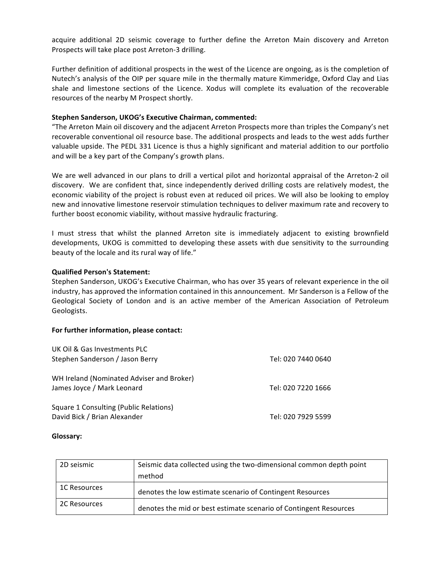acquire additional 2D seismic coverage to further define the Arreton Main discovery and Arreton Prospects will take place post Arreton-3 drilling.

Further definition of additional prospects in the west of the Licence are ongoing, as is the completion of Nutech's analysis of the OIP per square mile in the thermally mature Kimmeridge, Oxford Clay and Lias shale and limestone sections of the Licence. Xodus will complete its evaluation of the recoverable resources of the nearby M Prospect shortly.

#### **Stephen Sanderson, UKOG's Executive Chairman, commented:**

"The Arreton Main oil discovery and the adjacent Arreton Prospects more than triples the Company's net recoverable conventional oil resource base. The additional prospects and leads to the west adds further valuable upside. The PEDL 331 Licence is thus a highly significant and material addition to our portfolio and will be a key part of the Company's growth plans.

We are well advanced in our plans to drill a vertical pilot and horizontal appraisal of the Arreton-2 oil discovery. We are confident that, since independently derived drilling costs are relatively modest, the economic viability of the project is robust even at reduced oil prices. We will also be looking to employ new and innovative limestone reservoir stimulation techniques to deliver maximum rate and recovery to further boost economic viability, without massive hydraulic fracturing.

I must stress that whilst the planned Arreton site is immediately adjacent to existing brownfield developments, UKOG is committed to developing these assets with due sensitivity to the surrounding beauty of the locale and its rural way of life."

### **Qualified Person's Statement:**

Stephen Sanderson, UKOG's Executive Chairman, who has over 35 years of relevant experience in the oil industry, has approved the information contained in this announcement. Mr Sanderson is a Fellow of the Geological Society of London and is an active member of the American Association of Petroleum Geologists.

#### **For further information, please contact:**

| UK Oil & Gas Investments PLC<br>Stephen Sanderson / Jason Berry         | Tel: 020 7440 0640 |
|-------------------------------------------------------------------------|--------------------|
| WH Ireland (Nominated Adviser and Broker)<br>James Joyce / Mark Leonard | Tel: 020 7220 1666 |
| Square 1 Consulting (Public Relations)<br>David Bick / Brian Alexander  | Tel: 020 7929 5599 |

#### **Glossary:**

| 2D seismic   | Seismic data collected using the two-dimensional common depth point |
|--------------|---------------------------------------------------------------------|
|              | method                                                              |
| 1C Resources | denotes the low estimate scenario of Contingent Resources           |
| 2C Resources | denotes the mid or best estimate scenario of Contingent Resources   |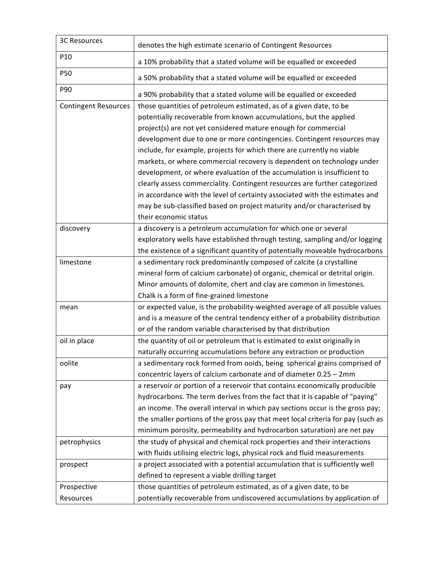| <b>3C Resources</b>         | denotes the high estimate scenario of Contingent Resources                                                                                                                                                                                                                                                                                                                                                                                                                                                                                                                                       |
|-----------------------------|--------------------------------------------------------------------------------------------------------------------------------------------------------------------------------------------------------------------------------------------------------------------------------------------------------------------------------------------------------------------------------------------------------------------------------------------------------------------------------------------------------------------------------------------------------------------------------------------------|
| P10                         | a 10% probability that a stated volume will be equalled or exceeded                                                                                                                                                                                                                                                                                                                                                                                                                                                                                                                              |
| P50                         | a 50% probability that a stated volume will be equalled or exceeded                                                                                                                                                                                                                                                                                                                                                                                                                                                                                                                              |
| P90                         | a 90% probability that a stated volume will be equalled or exceeded                                                                                                                                                                                                                                                                                                                                                                                                                                                                                                                              |
| <b>Contingent Resources</b> | those quantities of petroleum estimated, as of a given date, to be<br>potentially recoverable from known accumulations, but the applied<br>project(s) are not yet considered mature enough for commercial<br>development due to one or more contingencies. Contingent resources may<br>include, for example, projects for which there are currently no viable<br>markets, or where commercial recovery is dependent on technology under<br>development, or where evaluation of the accumulation is insufficient to<br>clearly assess commerciality. Contingent resources are further categorized |
|                             | in accordance with the level of certainty associated with the estimates and<br>may be sub-classified based on project maturity and/or characterised by<br>their economic status                                                                                                                                                                                                                                                                                                                                                                                                                  |
| discovery                   | a discovery is a petroleum accumulation for which one or several<br>exploratory wells have established through testing, sampling and/or logging<br>the existence of a significant quantity of potentially moveable hydrocarbons                                                                                                                                                                                                                                                                                                                                                                  |
| limestone                   | a sedimentary rock predominantly composed of calcite (a crystalline<br>mineral form of calcium carbonate) of organic, chemical or detrital origin.<br>Minor amounts of dolomite, chert and clay are common in limestones.<br>Chalk is a form of fine-grained limestone                                                                                                                                                                                                                                                                                                                           |
| mean                        | or expected value, is the probability-weighted average of all possible values<br>and is a measure of the central tendency either of a probability distribution<br>or of the random variable characterised by that distribution                                                                                                                                                                                                                                                                                                                                                                   |
| oil in place                | the quantity of oil or petroleum that is estimated to exist originally in<br>naturally occurring accumulations before any extraction or production                                                                                                                                                                                                                                                                                                                                                                                                                                               |
| oolite                      | a sedimentary rock formed from ooids, being spherical grains comprised of<br>concentric layers of calcium carbonate and of diameter 0.25 - 2mm                                                                                                                                                                                                                                                                                                                                                                                                                                                   |
| pay                         | a reservoir or portion of a reservoir that contains economically producible<br>hydrocarbons. The term derives from the fact that it is capable of "paying"<br>an income. The overall interval in which pay sections occur is the gross pay;<br>the smaller portions of the gross pay that meet local criteria for pay (such as<br>minimum porosity, permeability and hydrocarbon saturation) are net pay                                                                                                                                                                                         |
| petrophysics                | the study of physical and chemical rock properties and their interactions<br>with fluids utilising electric logs, physical rock and fluid measurements                                                                                                                                                                                                                                                                                                                                                                                                                                           |
| prospect                    | a project associated with a potential accumulation that is sufficiently well<br>defined to represent a viable drilling target                                                                                                                                                                                                                                                                                                                                                                                                                                                                    |
| Prospective<br>Resources    | those quantities of petroleum estimated, as of a given date, to be<br>potentially recoverable from undiscovered accumulations by application of                                                                                                                                                                                                                                                                                                                                                                                                                                                  |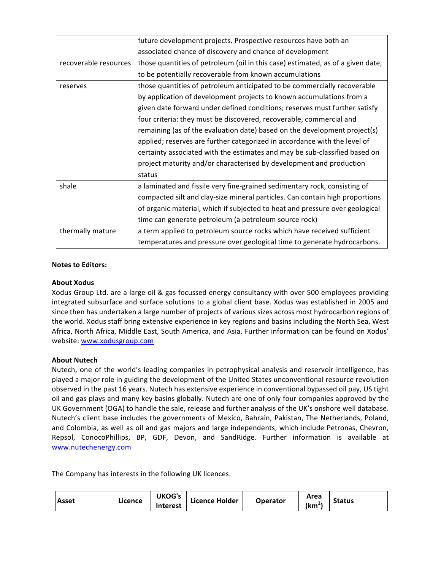|                       | future development projects. Prospective resources have both an                 |
|-----------------------|---------------------------------------------------------------------------------|
|                       |                                                                                 |
|                       | associated chance of discovery and chance of development                        |
| recoverable resources | those quantities of petroleum (oil in this case) estimated, as of a given date, |
|                       | to be potentially recoverable from known accumulations                          |
| reserves              | those quantities of petroleum anticipated to be commercially recoverable        |
|                       | by application of development projects to known accumulations from a            |
|                       | given date forward under defined conditions; reserves must further satisfy      |
|                       | four criteria: they must be discovered, recoverable, commercial and             |
|                       | remaining (as of the evaluation date) based on the development project(s)       |
|                       | applied; reserves are further categorized in accordance with the level of       |
|                       | certainty associated with the estimates and may be sub-classified based on      |
|                       | project maturity and/or characterised by development and production             |
|                       | status                                                                          |
| shale                 | a laminated and fissile very fine-grained sedimentary rock, consisting of       |
|                       | compacted silt and clay-size mineral particles. Can contain high proportions    |
|                       | of organic material, which if subjected to heat and pressure over geological    |
|                       | time can generate petroleum (a petroleum source rock)                           |
| thermally mature      | a term applied to petroleum source rocks which have received sufficient         |
|                       | temperatures and pressure over geological time to generate hydrocarbons.        |

## **Notes to Editors:**

### **About Xodus**

Xodus Group Ltd. are a large oil & gas focussed energy consultancy with over 500 employees providing integrated subsurface and surface solutions to a global client base. Xodus was established in 2005 and since then has undertaken a large number of projects of various sizes across most hydrocarbon regions of the world. Xodus staff bring extensive experience in key regions and basins including the North Sea, West Africa, North Africa, Middle East, South America, and Asia. Further information can be found on Xodus' website: www.xodusgroup.com

## **About Nutech**

Nutech, one of the world's leading companies in petrophysical analysis and reservoir intelligence, has played a major role in guiding the development of the United States unconventional resource revolution observed in the past 16 years. Nutech has extensive experience in conventional bypassed oil pay, US tight oil and gas plays and many key basins globally. Nutech are one of only four companies approved by the UK Government (OGA) to handle the sale, release and further analysis of the UK's onshore well database. Nutech's client base includes the governments of Mexico, Bahrain, Pakistan, The Netherlands, Poland, and Colombia, as well as oil and gas majors and large independents, which include Petronas, Chevron, Repsol, ConocoPhillips, BP, GDF, Devon, and SandRidge. Further information is available at www.nutechenergy.com

The Company has interests in the following UK licences:

| Licence<br>l Asset | <b>UKOG's</b><br>Interest | Licence Holder | <b>Operator</b> | Area<br><br>ˈkm | <b>Status</b> |
|--------------------|---------------------------|----------------|-----------------|-----------------|---------------|
|--------------------|---------------------------|----------------|-----------------|-----------------|---------------|